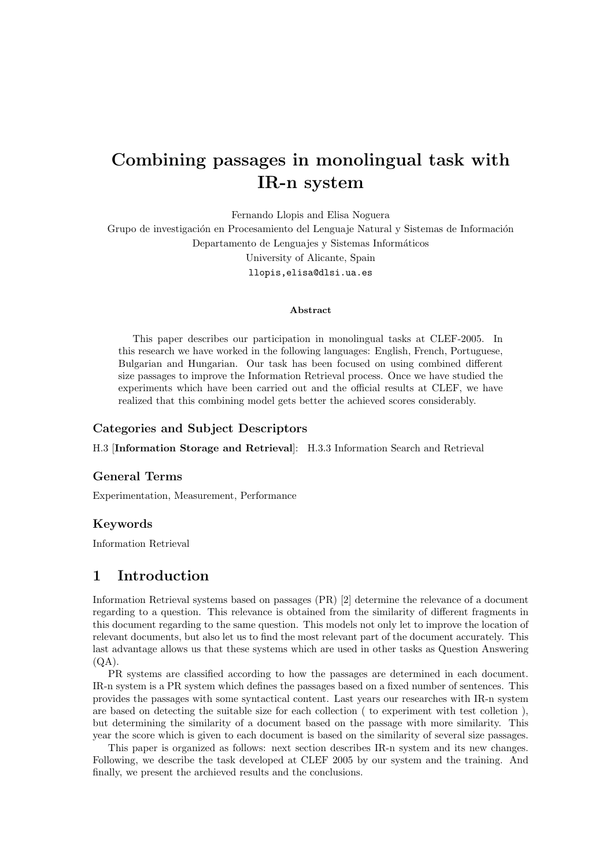# Combining passages in monolingual task with IR-n system

Fernando Llopis and Elisa Noguera

Grupo de investigación en Procesamiento del Lenguaje Natural y Sistemas de Información Departamento de Lenguajes y Sistemas Informáticos University of Alicante, Spain llopis,elisa@dlsi.ua.es

#### Abstract

This paper describes our participation in monolingual tasks at CLEF-2005. In this research we have worked in the following languages: English, French, Portuguese, Bulgarian and Hungarian. Our task has been focused on using combined different size passages to improve the Information Retrieval process. Once we have studied the experiments which have been carried out and the official results at CLEF, we have realized that this combining model gets better the achieved scores considerably.

### Categories and Subject Descriptors

H.3 [Information Storage and Retrieval]: H.3.3 Information Search and Retrieval

#### General Terms

Experimentation, Measurement, Performance

### Keywords

Information Retrieval

### 1 Introduction

Information Retrieval systems based on passages (PR) [2] determine the relevance of a document regarding to a question. This relevance is obtained from the similarity of different fragments in this document regarding to the same question. This models not only let to improve the location of relevant documents, but also let us to find the most relevant part of the document accurately. This last advantage allows us that these systems which are used in other tasks as Question Answering  $(OA)$ .

PR systems are classified according to how the passages are determined in each document. IR-n system is a PR system which defines the passages based on a fixed number of sentences. This provides the passages with some syntactical content. Last years our researches with IR-n system are based on detecting the suitable size for each collection ( to experiment with test colletion ), but determining the similarity of a document based on the passage with more similarity. This year the score which is given to each document is based on the similarity of several size passages.

This paper is organized as follows: next section describes IR-n system and its new changes. Following, we describe the task developed at CLEF 2005 by our system and the training. And finally, we present the archieved results and the conclusions.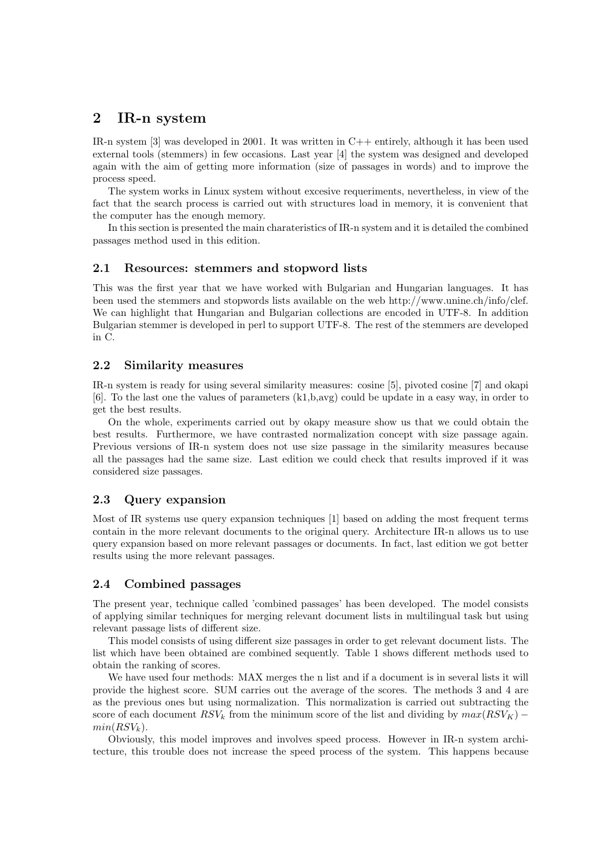# 2 IR-n system

IR-n system  $[3]$  was developed in 2001. It was written in  $C++$  entirely, although it has been used external tools (stemmers) in few occasions. Last year [4] the system was designed and developed again with the aim of getting more information (size of passages in words) and to improve the process speed.

The system works in Linux system without excesive requeriments, nevertheless, in view of the fact that the search process is carried out with structures load in memory, it is convenient that the computer has the enough memory.

In this section is presented the main charateristics of IR-n system and it is detailed the combined passages method used in this edition.

#### 2.1 Resources: stemmers and stopword lists

This was the first year that we have worked with Bulgarian and Hungarian languages. It has been used the stemmers and stopwords lists available on the web http://www.unine.ch/info/clef. We can highlight that Hungarian and Bulgarian collections are encoded in UTF-8. In addition Bulgarian stemmer is developed in perl to support UTF-8. The rest of the stemmers are developed in C.

### 2.2 Similarity measures

IR-n system is ready for using several similarity measures: cosine [5], pivoted cosine [7] and okapi [6]. To the last one the values of parameters (k1,b,avg) could be update in a easy way, in order to get the best results.

On the whole, experiments carried out by okapy measure show us that we could obtain the best results. Furthermore, we have contrasted normalization concept with size passage again. Previous versions of IR-n system does not use size passage in the similarity measures because all the passages had the same size. Last edition we could check that results improved if it was considered size passages.

#### 2.3 Query expansion

Most of IR systems use query expansion techniques [1] based on adding the most frequent terms contain in the more relevant documents to the original query. Architecture IR-n allows us to use query expansion based on more relevant passages or documents. In fact, last edition we got better results using the more relevant passages.

### 2.4 Combined passages

The present year, technique called 'combined passages' has been developed. The model consists of applying similar techniques for merging relevant document lists in multilingual task but using relevant passage lists of different size.

This model consists of using different size passages in order to get relevant document lists. The list which have been obtained are combined sequently. Table 1 shows different methods used to obtain the ranking of scores.

We have used four methods: MAX merges the n list and if a document is in several lists it will provide the highest score. SUM carries out the average of the scores. The methods 3 and 4 are as the previous ones but using normalization. This normalization is carried out subtracting the score of each document  $RSV_k$  from the minimum score of the list and dividing by  $max(RSV_K)$  –  $min(RSV_k)$ .

Obviously, this model improves and involves speed process. However in IR-n system architecture, this trouble does not increase the speed process of the system. This happens because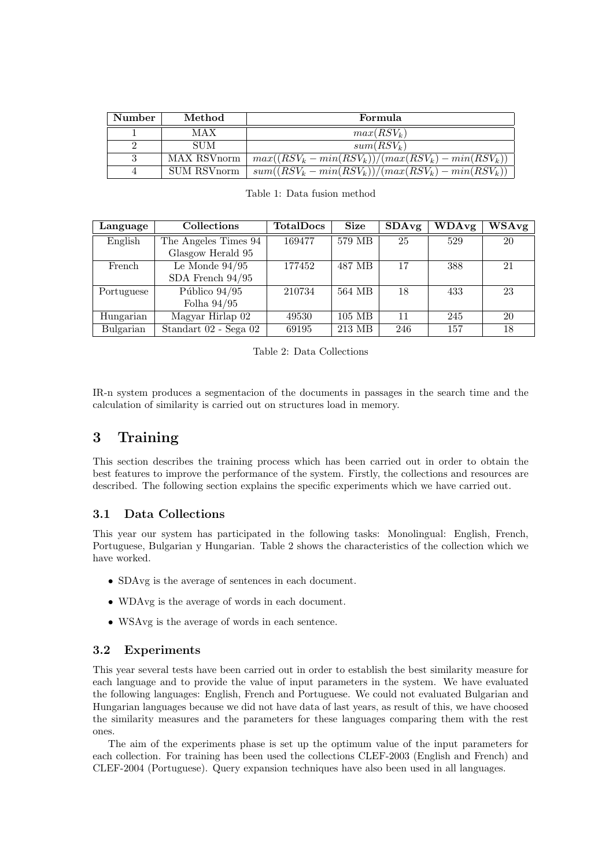| Number | Method      | Formula                                              |
|--------|-------------|------------------------------------------------------|
|        | MAX         | $max(RSV_k)$                                         |
|        | <b>SUM</b>  | $sum(RSV_k)$                                         |
| 3      | MAX RSVnorm | $max((RSV_k - min(RSV_k))/(max(RSV_k) - min(RSV_k))$ |
|        | SUM RSVnorm | $sum((RSV_k - min(RSV_k))/(max(RSV_k) - min(RSV_k))$ |

| Language   | Collections           | <b>TotalDocs</b> | <b>Size</b> | SDAvg | <b>WDAvg</b> | WSAvg |
|------------|-----------------------|------------------|-------------|-------|--------------|-------|
| English    | The Angeles Times 94  | 169477           | 579 MB      | 25    | 529          | 20    |
|            | Glasgow Herald 95     |                  |             |       |              |       |
| French     | Le Monde $94/95$      | 177452           | 487 MB      | 17    | 388          | 21    |
|            | SDA French $94/95$    |                  |             |       |              |       |
| Portuguese | Público $94/95$       | 210734           | 564 MB      | 18    | 433          | 23    |
|            | Folha $94/95$         |                  |             |       |              |       |
| Hungarian  | Magyar Hirlap 02      | 49530            | $105$ MB    | 11    | 245          | 20    |
| Bulgarian  | Standart 02 - Sega 02 | 69195            | 213 MB      | 246   | 157          | 18    |

Table 2: Data Collections

IR-n system produces a segmentacion of the documents in passages in the search time and the calculation of similarity is carried out on structures load in memory.

# 3 Training

This section describes the training process which has been carried out in order to obtain the best features to improve the performance of the system. Firstly, the collections and resources are described. The following section explains the specific experiments which we have carried out.

### 3.1 Data Collections

This year our system has participated in the following tasks: Monolingual: English, French, Portuguese, Bulgarian y Hungarian. Table 2 shows the characteristics of the collection which we have worked.

- SDAvg is the average of sentences in each document.
- WDAvg is the average of words in each document.
- WSAvg is the average of words in each sentence.

### 3.2 Experiments

This year several tests have been carried out in order to establish the best similarity measure for each language and to provide the value of input parameters in the system. We have evaluated the following languages: English, French and Portuguese. We could not evaluated Bulgarian and Hungarian languages because we did not have data of last years, as result of this, we have choosed the similarity measures and the parameters for these languages comparing them with the rest ones.

The aim of the experiments phase is set up the optimum value of the input parameters for each collection. For training has been used the collections CLEF-2003 (English and French) and CLEF-2004 (Portuguese). Query expansion techniques have also been used in all languages.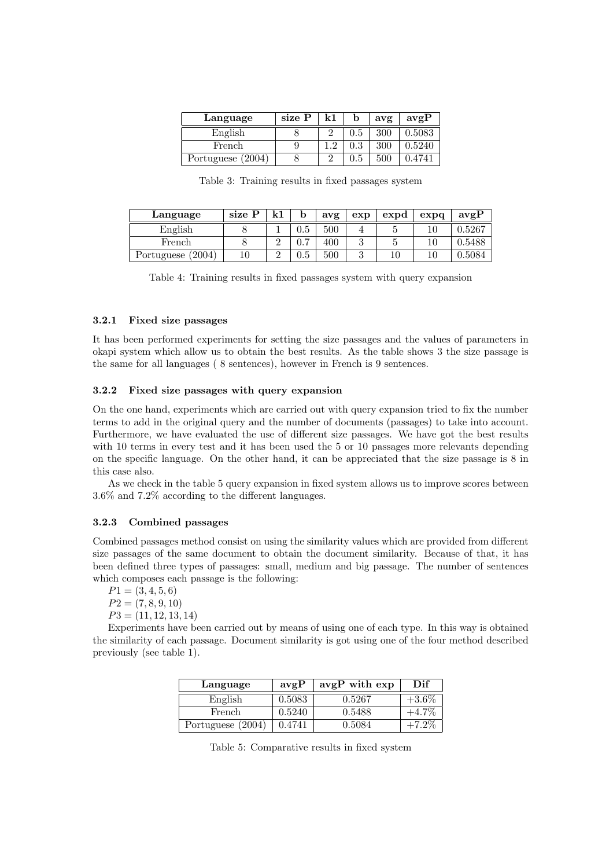| Language          | size P | k1       |     | avg | avgP   |
|-------------------|--------|----------|-----|-----|--------|
| English           |        |          | 0.5 | 300 | 0.5083 |
| French            |        | $\Omega$ | 0.3 | 300 | 0.5240 |
| Portuguese (2004) |        |          |     | 500 |        |

Table 3: Training results in fixed passages system

| Language          | size P | Ŀ1     |                | avg | exp | expd | exp <sub>q</sub> | avgP   |
|-------------------|--------|--------|----------------|-----|-----|------|------------------|--------|
| English           |        |        | J.5            | 500 |     |      |                  | 0.5267 |
| French            |        | ∩      | $\overline{ }$ | 400 |     |      | 10               | 0.5488 |
| Portuguese (2004) | $10\,$ | ∩<br>↵ | -<br>.GU       | 500 |     |      | 10               | 0.5084 |

Table 4: Training results in fixed passages system with query expansion

#### 3.2.1 Fixed size passages

It has been performed experiments for setting the size passages and the values of parameters in okapi system which allow us to obtain the best results. As the table shows 3 the size passage is the same for all languages ( 8 sentences), however in French is 9 sentences.

### 3.2.2 Fixed size passages with query expansion

On the one hand, experiments which are carried out with query expansion tried to fix the number terms to add in the original query and the number of documents (passages) to take into account. Furthermore, we have evaluated the use of different size passages. We have got the best results with 10 terms in every test and it has been used the 5 or 10 passages more relevants depending on the specific language. On the other hand, it can be appreciated that the size passage is 8 in this case also.

As we check in the table 5 query expansion in fixed system allows us to improve scores between 3.6% and 7.2% according to the different languages.

#### 3.2.3 Combined passages

Combined passages method consist on using the similarity values which are provided from different size passages of the same document to obtain the document similarity. Because of that, it has been defined three types of passages: small, medium and big passage. The number of sentences which composes each passage is the following:

$$
P1 = (3, 4, 5, 6)
$$
  
\n
$$
P2 = (7, 8, 9, 10)
$$
  
\n
$$
P3 = (11, 12, 13, 14)
$$

Experiments have been carried out by means of using one of each type. In this way is obtained the similarity of each passage. Document similarity is got using one of the four method described previously (see table 1).

| Language          | avgP   | avgP with exp | $_{\rm Diff}$ |
|-------------------|--------|---------------|---------------|
| English           | 0.5083 | 0.5267        | $+3.6\%$      |
| French            | 0.5240 | 0.5488        | $+4.7\%$      |
| Portuguese (2004) | 0.4741 | 0.5084        | $-7.2\%$      |

Table 5: Comparative results in fixed system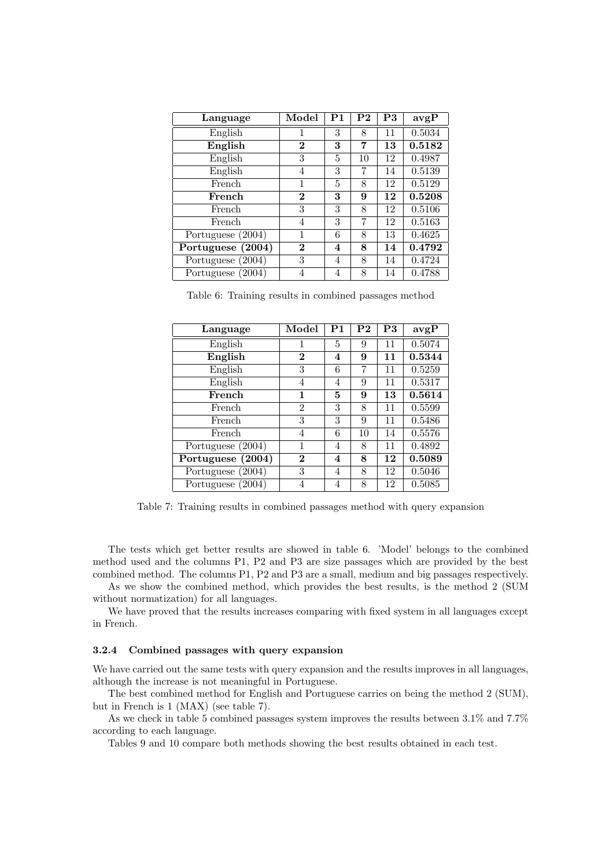| Language          | Model          | P <sub>1</sub> | P <sub>2</sub> | P3 | avgP   |
|-------------------|----------------|----------------|----------------|----|--------|
| English           | 1              | 3              | 8              | 11 | 0.5034 |
| English           | $\bf{2}$       | 3              | 7              | 13 | 0.5182 |
| English           | 3              | 5              | 10             | 12 | 0.4987 |
| English           | 4              | 3              | 7              | 14 | 0.5139 |
| French            | 1              | 5              | 8              | 12 | 0.5129 |
| French            | $\bf{2}$       | 3              | 9              | 12 | 0.5208 |
| French            | 3              | 3              | 8              | 12 | 0.5106 |
| French            | $\overline{4}$ | 3              | 7              | 12 | 0.5163 |
| Portuguese (2004) | 1              | 6              | 8              | 13 | 0.4625 |
| Portuguese (2004) | $\bf{2}$       | 4              | 8              | 14 | 0.4792 |
| Portuguese (2004) | 3              | 4              | 8              | 14 | 0.4724 |
| Portuguese (2004) | 4              | 4              | 8              | 14 | 0.4788 |

Table 6: Training results in combined passages method

| Language          | Model          | $_{\rm P1}$ | ${\bf P2}$ | P3 | avgP   |
|-------------------|----------------|-------------|------------|----|--------|
| English           |                | 5           | 9          | 11 | 0.5074 |
| English           | $\bf{2}$       | 4           | 9          | 11 | 0.5344 |
| English           | 3              | 6           | 7          | 11 | 0.5259 |
| English           | 4              | 4           | 9          | 11 | 0.5317 |
| French            | 1              | 5           | 9          | 13 | 0.5614 |
| French            | $\overline{2}$ | 3           | 8          | 11 | 0.5599 |
| French            | 3              | 3           | 9          | 11 | 0.5486 |
| French            | 4              | 6           | 10         | 14 | 0.5576 |
| Portuguese (2004) |                | 4           | 8          | 11 | 0.4892 |
| Portuguese (2004) | $\bf{2}$       | 4           | 8          | 12 | 0.5089 |
| Portuguese (2004) | 3              | 4           | 8          | 12 | 0.5046 |
| Portuguese (2004) | 4              | 4           | 8          | 12 | 0.5085 |

Table 7: Training results in combined passages method with query expansion

The tests which get better results are showed in table 6. 'Model' belongs to the combined method used and the columns P1, P2 and P3 are size passages which are provided by the best combined method. The columns P1, P2 and P3 are a small, medium and big passages respectively.

As we show the combined method, which provides the best results, is the method 2 (SUM without normatization) for all languages.

We have proved that the results increases comparing with fixed system in all languages except in French.

#### 3.2.4 Combined passages with query expansion

We have carried out the same tests with query expansion and the results improves in all languages, although the increase is not meaningful in Portuguese.

The best combined method for English and Portuguese carries on being the method 2 (SUM), but in French is 1 (MAX) (see table 7).

As we check in table 5 combined passages system improves the results between 3.1% and 7.7% according to each language.

Tables 9 and 10 compare both methods showing the best results obtained in each test.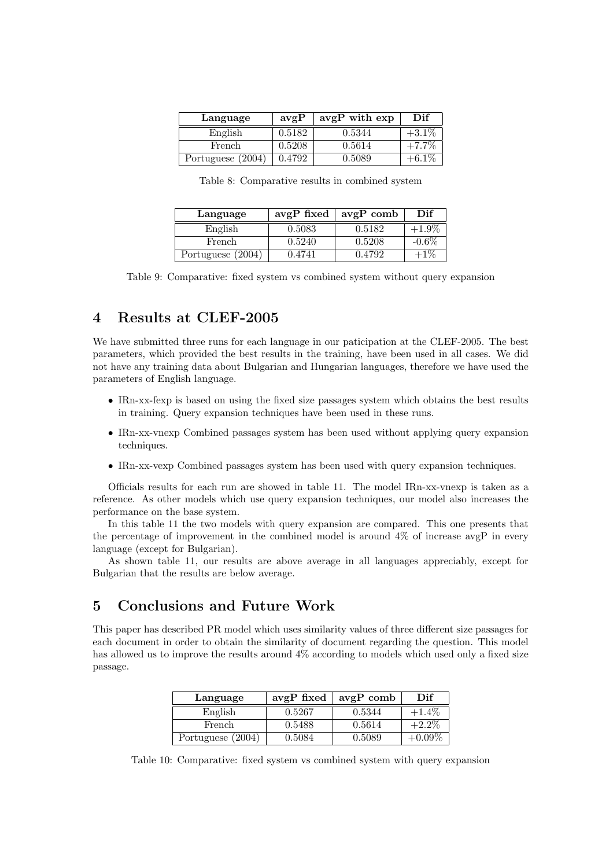| Language          | avgP   | avgP with exp | Dif      |
|-------------------|--------|---------------|----------|
| English           | 0.5182 | 0.5344        | $+3.1\%$ |
| French.           | 0.5208 | 0.5614        | $+7.7\%$ |
| Portuguese (2004) | 0.4792 | 0.5089        | $+6.1\%$ |

Table 8: Comparative results in combined system

| Language          |        | avgP fixed $\vert$ avgP comb | Dif      |
|-------------------|--------|------------------------------|----------|
| English           | 0.5083 | 0.5182                       | $+1.9\%$ |
| French            | 0.5240 | 0.5208                       | $-0.6\%$ |
| Portuguese (2004) | 0.4741 | 0.4792                       | $+1\%$   |

Table 9: Comparative: fixed system vs combined system without query expansion

# 4 Results at CLEF-2005

We have submitted three runs for each language in our paticipation at the CLEF-2005. The best parameters, which provided the best results in the training, have been used in all cases. We did not have any training data about Bulgarian and Hungarian languages, therefore we have used the parameters of English language.

- IRn-xx-fexp is based on using the fixed size passages system which obtains the best results in training. Query expansion techniques have been used in these runs.
- IRn-xx-vnexp Combined passages system has been used without applying query expansion techniques.
- IRn-xx-vexp Combined passages system has been used with query expansion techniques.

Officials results for each run are showed in table 11. The model IRn-xx-vnexp is taken as a reference. As other models which use query expansion techniques, our model also increases the performance on the base system.

In this table 11 the two models with query expansion are compared. This one presents that the percentage of improvement in the combined model is around 4% of increase avgP in every language (except for Bulgarian).

As shown table 11, our results are above average in all languages appreciably, except for Bulgarian that the results are below average.

# 5 Conclusions and Future Work

This paper has described PR model which uses similarity values of three different size passages for each document in order to obtain the similarity of document regarding the question. This model has allowed us to improve the results around  $4\%$  according to models which used only a fixed size passage.

| Language          | $avgP$ fixed | $avgP$ comb | Dif       |
|-------------------|--------------|-------------|-----------|
| English           | 0.5267       | 0.5344      | $+1.4\%$  |
| French            | 0.5488       | 0.5614      | $+2.2\%$  |
| Portuguese (2004) | 0.5084       | 0.5089      | $+0.09\%$ |

Table 10: Comparative: fixed system vs combined system with query expansion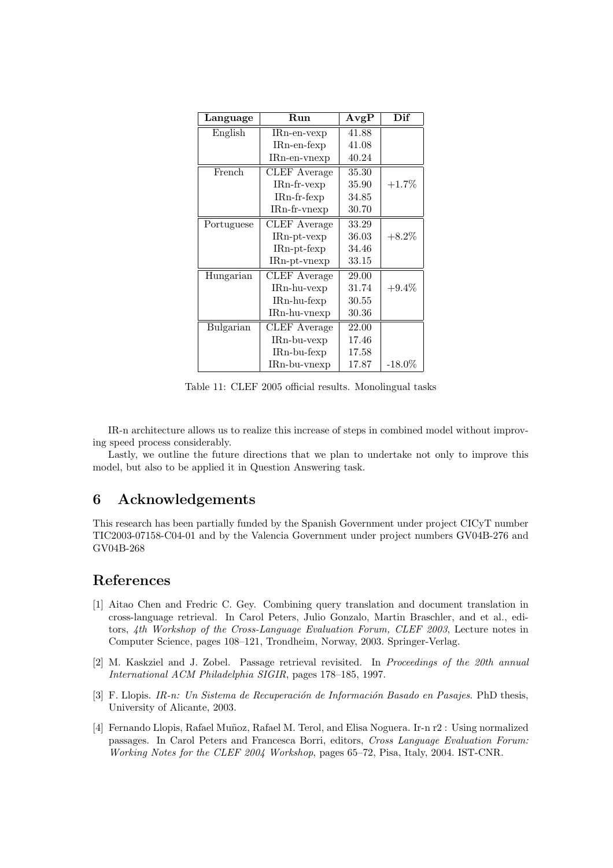| Language   | Run                 | AvgP  | Dif       |
|------------|---------------------|-------|-----------|
| English    | $IRn-en-vexp$       | 41.88 |           |
|            | $IRn-en-fexp$       | 41.08 |           |
|            | IRn-en-vnexp        | 40.24 |           |
| French     | <b>CLEF</b> Average | 35.30 |           |
|            | $IRn$ -fr-vexp      | 35.90 | $+1.7%$   |
|            | IRn-fr-fexp         | 34.85 |           |
|            | IRn-fr-vnexp        | 30.70 |           |
| Portuguese | <b>CLEF</b> Average | 33.29 |           |
|            | $IRn$ -pt-vexp      | 36.03 | $+8.2\%$  |
|            | $IRn\n-pt-fexp$     | 34.46 |           |
|            | $IRn$ -pt-vnexp     | 33.15 |           |
| Hungarian  | <b>CLEF</b> Average | 29.00 |           |
|            | $IRn-hu-vexp$       | 31.74 | $+9.4\%$  |
|            | $IRn-hu-fexp$       | 30.55 |           |
|            | IRn-hu-vnexp        | 30.36 |           |
| Bulgarian  | <b>CLEF</b> Average | 22.00 |           |
|            | $IRn-bu-vexp$       | 17.46 |           |
|            | $IRn-bu-fexp$       | 17.58 |           |
|            | $IRn-bu-vnexp$      | 17.87 | $-18.0\%$ |

Table 11: CLEF 2005 official results. Monolingual tasks

IR-n architecture allows us to realize this increase of steps in combined model without improving speed process considerably.

Lastly, we outline the future directions that we plan to undertake not only to improve this model, but also to be applied it in Question Answering task.

# 6 Acknowledgements

This research has been partially funded by the Spanish Government under project CICyT number TIC2003-07158-C04-01 and by the Valencia Government under project numbers GV04B-276 and GV04B-268

# References

- [1] Aitao Chen and Fredric C. Gey. Combining query translation and document translation in cross-language retrieval. In Carol Peters, Julio Gonzalo, Martin Braschler, and et al., editors, 4th Workshop of the Cross-Language Evaluation Forum, CLEF 2003, Lecture notes in Computer Science, pages 108–121, Trondheim, Norway, 2003. Springer-Verlag.
- [2] M. Kaskziel and J. Zobel. Passage retrieval revisited. In Proceedings of the 20th annual International ACM Philadelphia SIGIR, pages 178–185, 1997.
- [3] F. Llopis. IR-n: Un Sistema de Recuperación de Información Basado en Pasajes. PhD thesis, University of Alicante, 2003.
- [4] Fernando Llopis, Rafael Muñoz, Rafael M. Terol, and Elisa Noguera. Ir-n r2 : Using normalized passages. In Carol Peters and Francesca Borri, editors, Cross Language Evaluation Forum: Working Notes for the CLEF 2004 Workshop, pages 65–72, Pisa, Italy, 2004. IST-CNR.